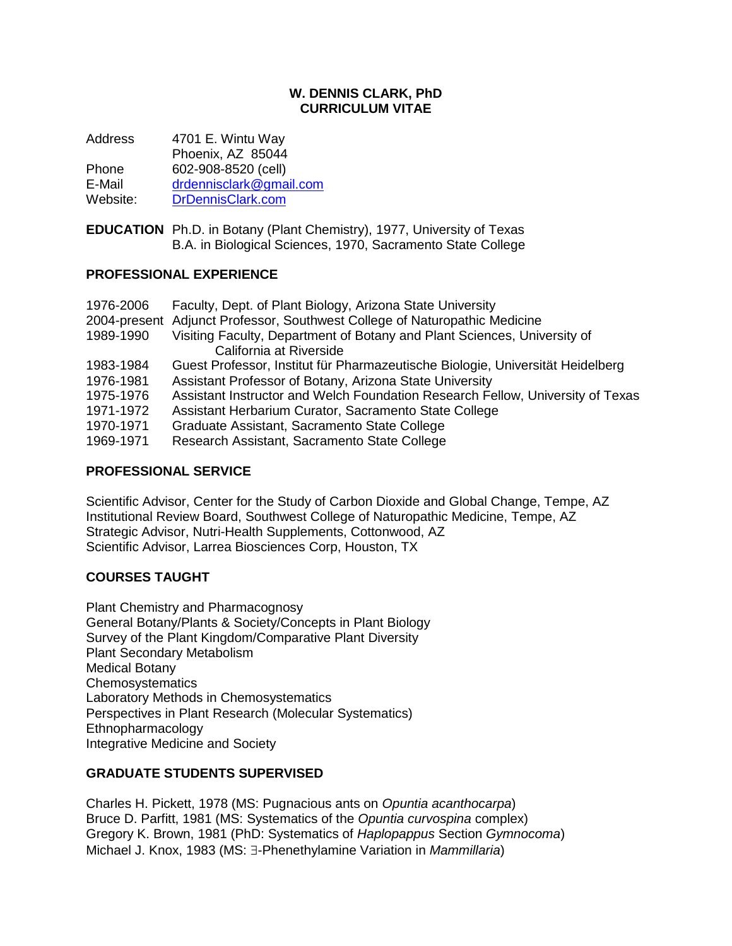#### **W. DENNIS CLARK, PhD CURRICULUM VITAE**

Address 4701 E. Wintu Way Phoenix, AZ 85044 Phone 602-908-8520 (cell) E-Mail [drdennisclark@gmail.com](mailto:drdennisclark@gmail.com) Website: [DrDennisClark.com](https://drdennisclark.com/)

**EDUCATION** Ph.D. in Botany (Plant Chemistry), 1977, University of Texas B.A. in Biological Sciences, 1970, Sacramento State College

#### **PROFESSIONAL EXPERIENCE**

| 1976-2006 | Faculty, Dept. of Plant Biology, Arizona State University                                           |
|-----------|-----------------------------------------------------------------------------------------------------|
|           | 2004-present Adjunct Professor, Southwest College of Naturopathic Medicine                          |
| 1989-1990 | Visiting Faculty, Department of Botany and Plant Sciences, University of<br>California at Riverside |
| 1983-1984 | Guest Professor, Institut für Pharmazeutische Biologie, Universität Heidelberg                      |
| 1976-1981 | Assistant Professor of Botany, Arizona State University                                             |
| 1975-1976 | Assistant Instructor and Welch Foundation Research Fellow, University of Texas                      |
| 1971-1972 | Assistant Herbarium Curator, Sacramento State College                                               |
| 1970-1971 | Graduate Assistant, Sacramento State College                                                        |
| 1969-1971 | Research Assistant, Sacramento State College                                                        |

#### **PROFESSIONAL SERVICE**

Scientific Advisor, Center for the Study of Carbon Dioxide and Global Change, Tempe, AZ Institutional Review Board, Southwest College of Naturopathic Medicine, Tempe, AZ Strategic Advisor, Nutri-Health Supplements, Cottonwood, AZ Scientific Advisor, Larrea Biosciences Corp, Houston, TX

#### **COURSES TAUGHT**

Plant Chemistry and Pharmacognosy General Botany/Plants & Society/Concepts in Plant Biology Survey of the Plant Kingdom/Comparative Plant Diversity Plant Secondary Metabolism Medical Botany **Chemosystematics** Laboratory Methods in Chemosystematics Perspectives in Plant Research (Molecular Systematics) Ethnopharmacology Integrative Medicine and Society

#### **GRADUATE STUDENTS SUPERVISED**

Charles H. Pickett, 1978 (MS: Pugnacious ants on *Opuntia acanthocarpa*) Bruce D. Parfitt, 1981 (MS: Systematics of the *Opuntia curvospina* complex) Gregory K. Brown, 1981 (PhD: Systematics of *Haplopappus* Section *Gymnocoma*) Michael J. Knox, 1983 (MS: E-Phenethylamine Variation in *Mammillaria*)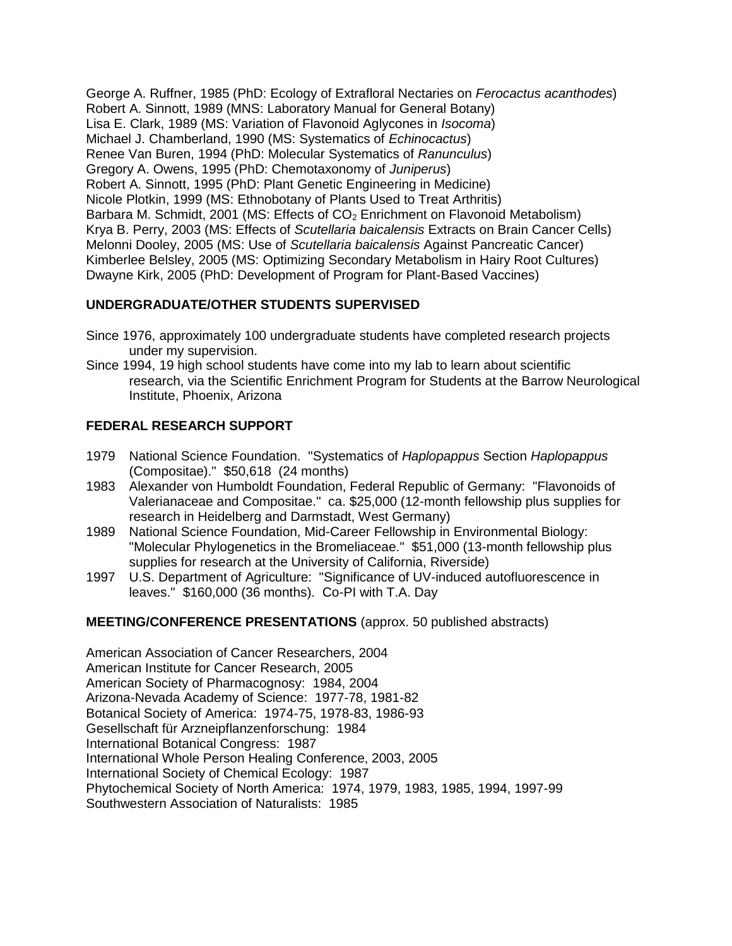George A. Ruffner, 1985 (PhD: Ecology of Extrafloral Nectaries on *Ferocactus acanthodes*) Robert A. Sinnott, 1989 (MNS: Laboratory Manual for General Botany) Lisa E. Clark, 1989 (MS: Variation of Flavonoid Aglycones in *Isocoma*) Michael J. Chamberland, 1990 (MS: Systematics of *Echinocactus*) Renee Van Buren, 1994 (PhD: Molecular Systematics of *Ranunculus*) Gregory A. Owens, 1995 (PhD: Chemotaxonomy of *Juniperus*) Robert A. Sinnott, 1995 (PhD: Plant Genetic Engineering in Medicine) Nicole Plotkin, 1999 (MS: Ethnobotany of Plants Used to Treat Arthritis) Barbara M. Schmidt, 2001 (MS: Effects of CO<sub>2</sub> Enrichment on Flavonoid Metabolism) Krya B. Perry, 2003 (MS: Effects of *Scutellaria baicalensis* Extracts on Brain Cancer Cells) Melonni Dooley, 2005 (MS: Use of *Scutellaria baicalensis* Against Pancreatic Cancer) Kimberlee Belsley, 2005 (MS: Optimizing Secondary Metabolism in Hairy Root Cultures) Dwayne Kirk, 2005 (PhD: Development of Program for Plant-Based Vaccines)

### **UNDERGRADUATE/OTHER STUDENTS SUPERVISED**

- Since 1976, approximately 100 undergraduate students have completed research projects under my supervision.
- Since 1994, 19 high school students have come into my lab to learn about scientific research, via the Scientific Enrichment Program for Students at the Barrow Neurological Institute, Phoenix, Arizona

## **FEDERAL RESEARCH SUPPORT**

- 1979 National Science Foundation. "Systematics of *Haplopappus* Section *Haplopappus* (Compositae)." \$50,618 (24 months)
- 1983 Alexander von Humboldt Foundation, Federal Republic of Germany: "Flavonoids of Valerianaceae and Compositae." ca. \$25,000 (12-month fellowship plus supplies for research in Heidelberg and Darmstadt, West Germany)
- 1989 National Science Foundation, Mid-Career Fellowship in Environmental Biology: "Molecular Phylogenetics in the Bromeliaceae." \$51,000 (13-month fellowship plus supplies for research at the University of California, Riverside)
- 1997 U.S. Department of Agriculture: "Significance of UV-induced autofluorescence in leaves." \$160,000 (36 months). Co-PI with T.A. Day

#### **MEETING/CONFERENCE PRESENTATIONS** (approx. 50 published abstracts)

American Association of Cancer Researchers, 2004 American Institute for Cancer Research, 2005 American Society of Pharmacognosy: 1984, 2004 Arizona-Nevada Academy of Science: 1977-78, 1981-82 Botanical Society of America: 1974-75, 1978-83, 1986-93 Gesellschaft für Arzneipflanzenforschung: 1984 International Botanical Congress: 1987 International Whole Person Healing Conference, 2003, 2005 International Society of Chemical Ecology: 1987 Phytochemical Society of North America: 1974, 1979, 1983, 1985, 1994, 1997-99 Southwestern Association of Naturalists: 1985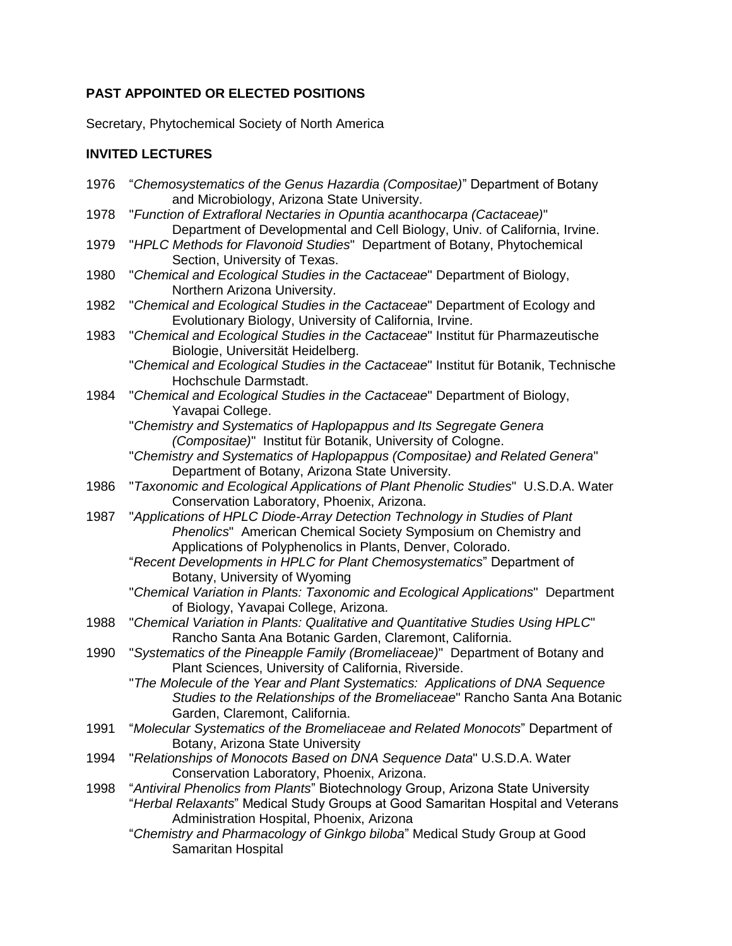# **PAST APPOINTED OR ELECTED POSITIONS**

Secretary, Phytochemical Society of North America

## **INVITED LECTURES**

| 1976 | "Chemosystematics of the Genus Hazardia (Compositae)" Department of Botany<br>and Microbiology, Arizona State University.                                                                                       |
|------|-----------------------------------------------------------------------------------------------------------------------------------------------------------------------------------------------------------------|
| 1978 | "Function of Extrafloral Nectaries in Opuntia acanthocarpa (Cactaceae)"<br>Department of Developmental and Cell Biology, Univ. of California, Irvine.                                                           |
| 1979 | "HPLC Methods for Flavonoid Studies" Department of Botany, Phytochemical<br>Section, University of Texas.                                                                                                       |
| 1980 | "Chemical and Ecological Studies in the Cactaceae" Department of Biology,<br>Northern Arizona University.                                                                                                       |
| 1982 | "Chemical and Ecological Studies in the Cactaceae" Department of Ecology and<br>Evolutionary Biology, University of California, Irvine.                                                                         |
| 1983 | "Chemical and Ecological Studies in the Cactaceae" Institut für Pharmazeutische<br>Biologie, Universität Heidelberg.                                                                                            |
|      | "Chemical and Ecological Studies in the Cactaceae" Institut für Botanik, Technische<br>Hochschule Darmstadt.                                                                                                    |
| 1984 | "Chemical and Ecological Studies in the Cactaceae" Department of Biology,<br>Yavapai College.                                                                                                                   |
|      | "Chemistry and Systematics of Haplopappus and Its Segregate Genera<br>(Compositae)" Institut für Botanik, University of Cologne.                                                                                |
|      | "Chemistry and Systematics of Haplopappus (Compositae) and Related Genera"<br>Department of Botany, Arizona State University.                                                                                   |
| 1986 | "Taxonomic and Ecological Applications of Plant Phenolic Studies" U.S.D.A. Water<br>Conservation Laboratory, Phoenix, Arizona.                                                                                  |
| 1987 | "Applications of HPLC Diode-Array Detection Technology in Studies of Plant<br>Phenolics" American Chemical Society Symposium on Chemistry and<br>Applications of Polyphenolics in Plants, Denver, Colorado.     |
|      | "Recent Developments in HPLC for Plant Chemosystematics" Department of<br>Botany, University of Wyoming                                                                                                         |
|      | "Chemical Variation in Plants: Taxonomic and Ecological Applications" Department<br>of Biology, Yavapai College, Arizona.                                                                                       |
| 1988 | "Chemical Variation in Plants: Qualitative and Quantitative Studies Using HPLC"<br>Rancho Santa Ana Botanic Garden, Claremont, California.                                                                      |
| 1990 | "Systematics of the Pineapple Family (Bromeliaceae)" Department of Botany and<br>Plant Sciences, University of California, Riverside.                                                                           |
|      | "The Molecule of the Year and Plant Systematics: Applications of DNA Sequence<br>Studies to the Relationships of the Bromeliaceae" Rancho Santa Ana Botanic<br>Garden, Claremont, California.                   |
| 1991 | "Molecular Systematics of the Bromeliaceae and Related Monocots" Department of<br>Botany, Arizona State University                                                                                              |
| 1994 | "Relationships of Monocots Based on DNA Sequence Data" U.S.D.A. Water<br>Conservation Laboratory, Phoenix, Arizona.                                                                                             |
| 1998 | "Antiviral Phenolics from Plants" Biotechnology Group, Arizona State University<br>"Herbal Relaxants" Medical Study Groups at Good Samaritan Hospital and Veterans<br>Administration Hospital, Phoenix, Arizona |
|      | "Chemistry and Pharmacology of Ginkgo biloba" Medical Study Group at Good<br>Samaritan Hospital                                                                                                                 |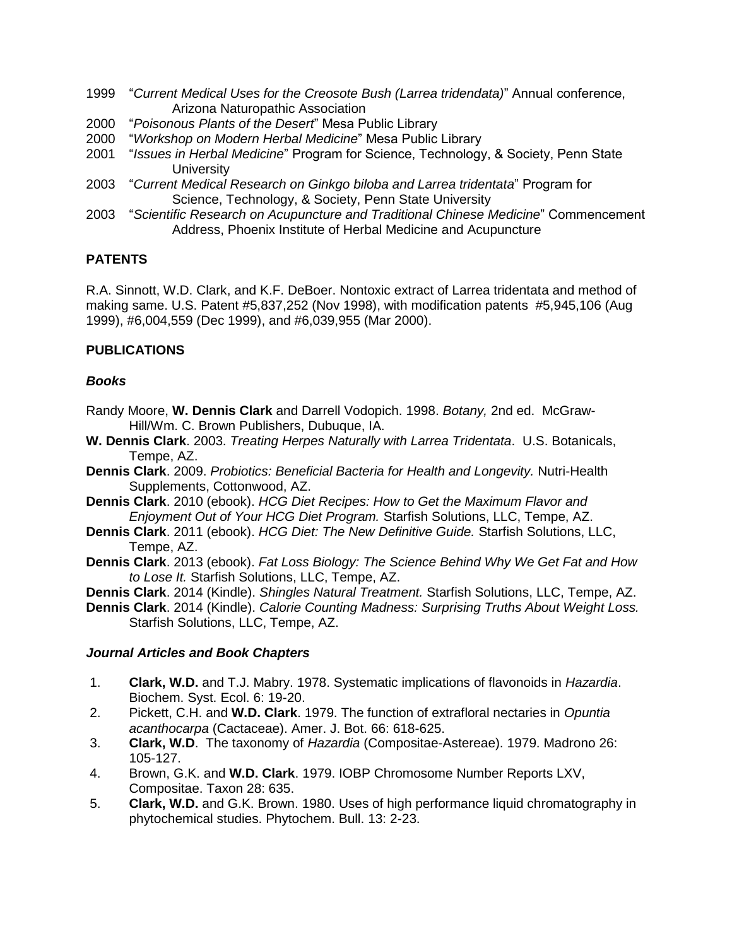- 1999 "*Current Medical Uses for the Creosote Bush (Larrea tridendata)*" Annual conference, Arizona Naturopathic Association
- 2000 "*Poisonous Plants of the Desert*" Mesa Public Library
- 2000 "*Workshop on Modern Herbal Medicine*" Mesa Public Library
- 2001 "*Issues in Herbal Medicine*" Program for Science, Technology, & Society, Penn State **University**
- 2003 "*Current Medical Research on Ginkgo biloba and Larrea tridentata*" Program for Science, Technology, & Society, Penn State University
- 2003 "*Scientific Research on Acupuncture and Traditional Chinese Medicine*" Commencement Address, Phoenix Institute of Herbal Medicine and Acupuncture

## **PATENTS**

R.A. Sinnott, W.D. Clark, and K.F. DeBoer. Nontoxic extract of Larrea tridentata and method of making same. U.S. Patent #5,837,252 (Nov 1998), with modification patents #5,945,106 (Aug 1999), #6,004,559 (Dec 1999), and #6,039,955 (Mar 2000).

## **PUBLICATIONS**

## *Books*

- Randy Moore, **W. Dennis Clark** and Darrell Vodopich. 1998. *Botany,* 2nd ed. McGraw-Hill/Wm. C. Brown Publishers, Dubuque, IA.
- **W. Dennis Clark**. 2003. *Treating Herpes Naturally with Larrea Tridentata*. U.S. Botanicals, Tempe, AZ.
- **Dennis Clark**. 2009. *Probiotics: Beneficial Bacteria for Health and Longevity.* Nutri-Health Supplements, Cottonwood, AZ.
- **Dennis Clark**. 2010 (ebook). *HCG Diet Recipes: How to Get the Maximum Flavor and Enjoyment Out of Your HCG Diet Program.* Starfish Solutions, LLC, Tempe, AZ.
- **Dennis Clark**. 2011 (ebook). *HCG Diet: The New Definitive Guide.* Starfish Solutions, LLC, Tempe, AZ.
- **Dennis Clark**. 2013 (ebook). *Fat Loss Biology: The Science Behind Why We Get Fat and How to Lose It.* Starfish Solutions, LLC, Tempe, AZ.
- **Dennis Clark**. 2014 (Kindle). *Shingles Natural Treatment.* Starfish Solutions, LLC, Tempe, AZ.
- **Dennis Clark**. 2014 (Kindle). *Calorie Counting Madness: Surprising Truths About Weight Loss.* Starfish Solutions, LLC, Tempe, AZ.

## *Journal Articles and Book Chapters*

- 1. **Clark, W.D.** and T.J. Mabry. 1978. Systematic implications of flavonoids in *Hazardia*. Biochem. Syst. Ecol. 6: 19-20.
- 2. Pickett, C.H. and **W.D. Clark**. 1979. The function of extrafloral nectaries in *Opuntia acanthocarpa* (Cactaceae). Amer. J. Bot. 66: 618-625.
- 3. **Clark, W.D**. The taxonomy of *Hazardia* (Compositae-Astereae). 1979. Madrono 26: 105-127.
- 4. Brown, G.K. and **W.D. Clark**. 1979. IOBP Chromosome Number Reports LXV, Compositae. Taxon 28: 635.
- 5. **Clark, W.D.** and G.K. Brown. 1980. Uses of high performance liquid chromatography in phytochemical studies. Phytochem. Bull. 13: 2-23.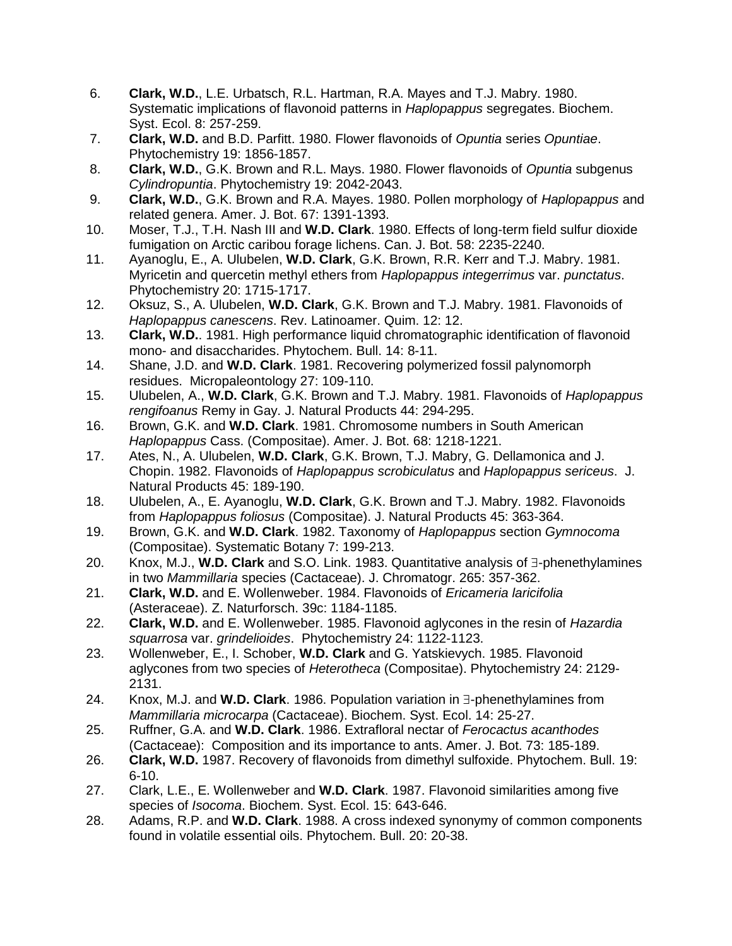- 6. **Clark, W.D.**, L.E. Urbatsch, R.L. Hartman, R.A. Mayes and T.J. Mabry. 1980. Systematic implications of flavonoid patterns in *Haplopappus* segregates. Biochem. Syst. Ecol. 8: 257-259.
- 7. **Clark, W.D.** and B.D. Parfitt. 1980. Flower flavonoids of *Opuntia* series *Opuntiae*. Phytochemistry 19: 1856-1857.
- 8. **Clark, W.D.**, G.K. Brown and R.L. Mays. 1980. Flower flavonoids of *Opuntia* subgenus *Cylindropuntia*. Phytochemistry 19: 2042-2043.
- 9. **Clark, W.D.**, G.K. Brown and R.A. Mayes. 1980. Pollen morphology of *Haplopappus* and related genera. Amer. J. Bot. 67: 1391-1393.
- 10. Moser, T.J., T.H. Nash III and **W.D. Clark**. 1980. Effects of long-term field sulfur dioxide fumigation on Arctic caribou forage lichens. Can. J. Bot. 58: 2235-2240.
- 11. Ayanoglu, E., A. Ulubelen, **W.D. Clark**, G.K. Brown, R.R. Kerr and T.J. Mabry. 1981. Myricetin and quercetin methyl ethers from *Haplopappus integerrimus* var. *punctatus*. Phytochemistry 20: 1715-1717.
- 12. Oksuz, S., A. Ulubelen, **W.D. Clark**, G.K. Brown and T.J. Mabry. 1981. Flavonoids of *Haplopappus canescens*. Rev. Latinoamer. Quim. 12: 12.
- 13. **Clark, W.D.**. 1981. High performance liquid chromatographic identification of flavonoid mono- and disaccharides. Phytochem. Bull. 14: 8-11.
- 14. Shane, J.D. and **W.D. Clark**. 1981. Recovering polymerized fossil palynomorph residues. Micropaleontology 27: 109-110.
- 15. Ulubelen, A., **W.D. Clark**, G.K. Brown and T.J. Mabry. 1981. Flavonoids of *Haplopappus rengifoanus* Remy in Gay. J. Natural Products 44: 294-295.
- 16. Brown, G.K. and **W.D. Clark**. 1981. Chromosome numbers in South American *Haplopappus* Cass. (Compositae). Amer. J. Bot. 68: 1218-1221.
- 17. Ates, N., A. Ulubelen, **W.D. Clark**, G.K. Brown, T.J. Mabry, G. Dellamonica and J. Chopin. 1982. Flavonoids of *Haplopappus scrobiculatus* and *Haplopappus sericeus*. J. Natural Products 45: 189-190.
- 18. Ulubelen, A., E. Ayanoglu, **W.D. Clark**, G.K. Brown and T.J. Mabry. 1982. Flavonoids from *Haplopappus foliosus* (Compositae). J. Natural Products 45: 363-364.
- 19. Brown, G.K. and **W.D. Clark**. 1982. Taxonomy of *Haplopappus* section *Gymnocoma* (Compositae). Systematic Botany 7: 199-213.
- 20. Knox, M.J., W.D. Clark and S.O. Link. 1983. Quantitative analysis of 3-phenethylamines in two *Mammillaria* species (Cactaceae). J. Chromatogr. 265: 357-362.
- 21. **Clark, W.D.** and E. Wollenweber. 1984. Flavonoids of *Ericameria laricifolia* (Asteraceae). Z. Naturforsch. 39c: 1184-1185.
- 22. **Clark, W.D.** and E. Wollenweber. 1985. Flavonoid aglycones in the resin of *Hazardia squarrosa* var. *grindelioides*. Phytochemistry 24: 1122-1123.
- 23. Wollenweber, E., I. Schober, **W.D. Clark** and G. Yatskievych. 1985. Flavonoid aglycones from two species of *Heterotheca* (Compositae). Phytochemistry 24: 2129- 2131.
- 24. Knox, M.J. and **W.D. Clark**. 1986. Population variation in  $\exists$ -phenethylamines from *Mammillaria microcarpa* (Cactaceae). Biochem. Syst. Ecol. 14: 25-27.
- 25. Ruffner, G.A. and **W.D. Clark**. 1986. Extrafloral nectar of *Ferocactus acanthodes* (Cactaceae): Composition and its importance to ants. Amer. J. Bot. 73: 185-189.
- 26. **Clark, W.D.** 1987. Recovery of flavonoids from dimethyl sulfoxide. Phytochem. Bull. 19: 6-10.
- 27. Clark, L.E., E. Wollenweber and **W.D. Clark**. 1987. Flavonoid similarities among five species of *Isocoma*. Biochem. Syst. Ecol. 15: 643-646.
- 28. Adams, R.P. and **W.D. Clark**. 1988. A cross indexed synonymy of common components found in volatile essential oils. Phytochem. Bull. 20: 20-38.